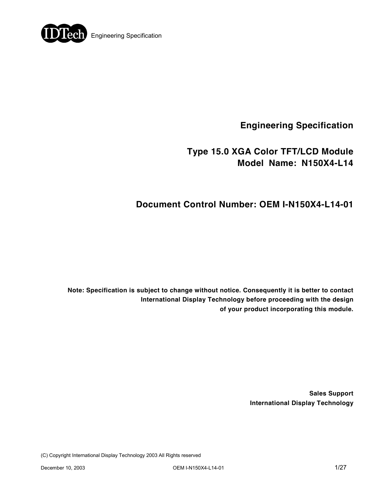

**Engineering Specification** 

# **Type 15.0 XGA Color TFT/LCD Module Model Name: N150X4-L14**

# **Document Control Number: OEM I-N150X4-L14-01**

**Note: Specification is subject to change without notice. Consequently it is better to contact International Display Technology before proceeding with the design of your product incorporating this module.** 

> **Sales Support International Display Technology**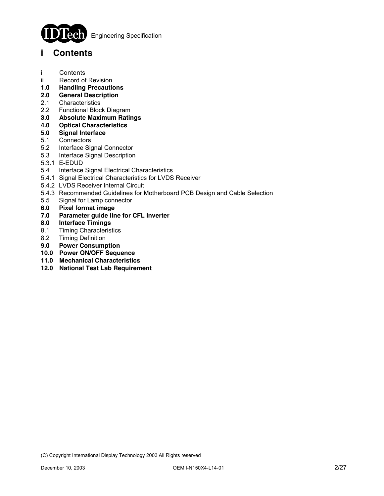

**Engineering Specification** 

### **i Contents**

- i Contents
- ii Record of Revision
- **1.0 Handling Precautions**
- **2.0 General Description**
- 2.1 Characteristics
- 2.2 Functional Block Diagram
- **3.0 Absolute Maximum Ratings**
- **4.0 Optical Characteristics**
- **5.0 Signal Interface**
- **Connectors**
- 5.2 Interface Signal Connector
- 5.3 Interface Signal Description
- 5.3.1 E-EDUD
- 5.4 Interface Signal Electrical Characteristics
- 5.4.1 Signal Electrical Characteristics for LVDS Receiver
- 5.4.2 LVDS Receiver Internal Circuit
- 5.4.3 Recommended Guidelines for Motherboard PCB Design and Cable Selection
- 5.5 Signal for Lamp connector
- **6.0 Pixel format image**
- **7.0 Parameter guide line for CFL Inverter**
- **8.0 Interface Timings**
- 8.1 Timing Characteristics
- 8.2 Timing Definition
- **9.0 Power Consumption**
- **10.0 Power ON/OFF Sequence**
- **11.0 Mechanical Characteristics**
- **12.0 National Test Lab Requirement**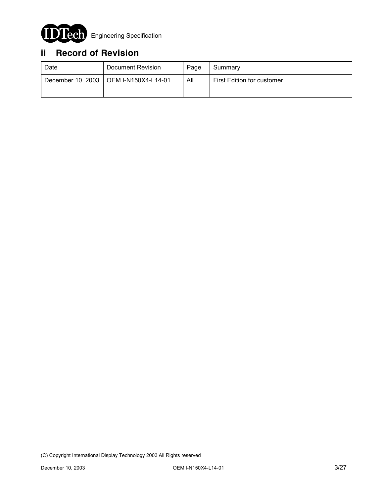

# **ii Record of Revision**

| Date | Document Revision                       | Page | Summary                     |
|------|-----------------------------------------|------|-----------------------------|
|      | December 10, 2003   OEM I-N150X4-L14-01 | All  | First Edition for customer. |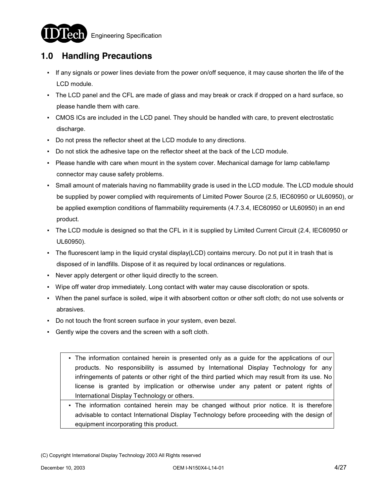



## **1.0 Handling Precautions**

- If any signals or power lines deviate from the power on/off sequence, it may cause shorten the life of the LCD module.
- The LCD panel and the CFL are made of glass and may break or crack if dropped on a hard surface, so please handle them with care.
- CMOS ICs are included in the LCD panel. They should be handled with care, to prevent electrostatic discharge.
- Do not press the reflector sheet at the LCD module to any directions.
- Do not stick the adhesive tape on the reflector sheet at the back of the LCD module.
- Please handle with care when mount in the system cover. Mechanical damage for lamp cable/lamp connector may cause safety problems.
- Small amount of materials having no flammability grade is used in the LCD module. The LCD module should be supplied by power complied with requirements of Limited Power Source (2.5, IEC60950 or UL60950), or be applied exemption conditions of flammability requirements (4.7.3.4, IEC60950 or UL60950) in an end product.
- The LCD module is designed so that the CFL in it is supplied by Limited Current Circuit (2.4, IEC60950 or UL60950).
- The fluorescent lamp in the liquid crystal display(LCD) contains mercury. Do not put it in trash that is disposed of in landfills. Dispose of it as required by local ordinances or regulations.
- Never apply detergent or other liquid directly to the screen.
- Wipe off water drop immediately. Long contact with water may cause discoloration or spots.
- When the panel surface is soiled, wipe it with absorbent cotton or other soft cloth; do not use solvents or abrasives.
- Do not touch the front screen surface in your system, even bezel.
- Gently wipe the covers and the screen with a soft cloth.
	- The information contained herein is presented only as a guide for the applications of our products. No responsibility is assumed by International Display Technology for any infringements of patents or other right of the third partied which may result from its use. No license is granted by implication or otherwise under any patent or patent rights of International Display Technology or others.
	- The information contained herein may be changed without prior notice. It is therefore advisable to contact International Display Technology before proceeding with the design of equipment incorporating this product.

<sup>(</sup>C) Copyright International Display Technology 2003 All Rights reserved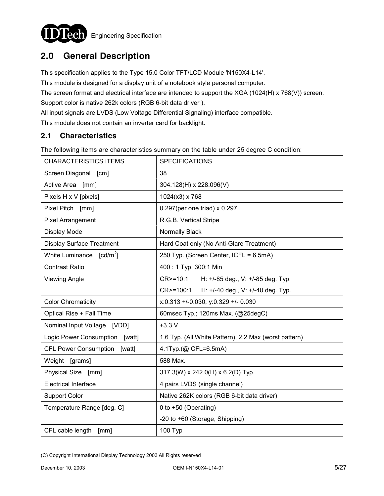

# **2.0 General Description**

This specification applies to the Type 15.0 Color TFT/LCD Module 'N150X4-L14'.

This module is designed for a display unit of a notebook style personal computer.

The screen format and electrical interface are intended to support the XGA (1024(H) x 768(V)) screen.

Support color is native 262k colors (RGB 6-bit data driver ).

All input signals are LVDS (Low Voltage Differential Signaling) interface compatible.

This module does not contain an inverter card for backlight.

### **2.1 Characteristics**

The following items are characteristics summary on the table under 25 degree C condition:

| <b>CHARACTERISTICS ITEMS</b>           | <b>SPECIFICATIONS</b>                                 |
|----------------------------------------|-------------------------------------------------------|
| Screen Diagonal [cm]                   | 38                                                    |
| Active Area [mm]                       | 304.128(H) x 228.096(V)                               |
| Pixels H x V [pixels]                  | 1024(x3) x 768                                        |
| Pixel Pitch [mm]                       | $0.297$ (per one triad) x $0.297$                     |
| Pixel Arrangement                      | R.G.B. Vertical Stripe                                |
| Display Mode                           | Normally Black                                        |
| <b>Display Surface Treatment</b>       | Hard Coat only (No Anti-Glare Treatment)              |
| White Luminance $[cd/m^2]$             | 250 Typ. (Screen Center, ICFL = 6.5mA)                |
| <b>Contrast Ratio</b>                  | 400: 1 Typ. 300:1 Min                                 |
| <b>Viewing Angle</b>                   | CR>=10:1 H: +/-85 deg., V: +/-85 deg. Typ.            |
|                                        | CR>=100:1<br>H: +/-40 deg., V: +/-40 deg. Typ.        |
| <b>Color Chromaticity</b>              | x:0.313 +/-0.030, y:0.329 +/- 0.030                   |
| Optical Rise + Fall Time               | 60msec Typ.; 120ms Max. (@25degC)                     |
| Nominal Input Voltage [VDD]            | $+3.3 V$                                              |
| Logic Power Consumption<br>[watt]      | 1.6 Typ. (All White Pattern), 2.2 Max (worst pattern) |
| <b>CFL Power Consumption</b><br>[watt] | 4.1Typ.(@ICFL=6.5mA)                                  |
| Weight [grams]                         | 588 Max.                                              |
| Physical Size [mm]                     | 317.3(W) x 242.0(H) x 6.2(D) Typ.                     |
| <b>Electrical Interface</b>            | 4 pairs LVDS (single channel)                         |
| <b>Support Color</b>                   | Native 262K colors (RGB 6-bit data driver)            |
| Temperature Range [deg. C]             | 0 to +50 (Operating)                                  |
|                                        | -20 to +60 (Storage, Shipping)                        |
| CFL cable length<br>[mm]               | 100 Typ                                               |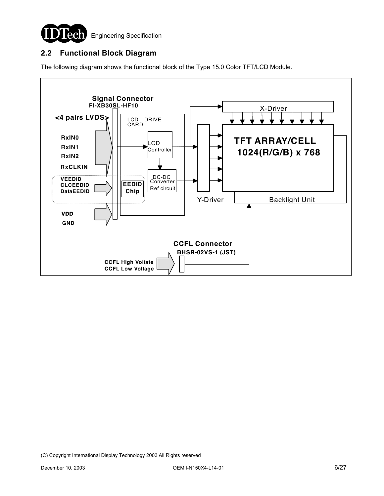

### **2.2 Functional Block Diagram**

The following diagram shows the functional block of the Type 15.0 Color TFT/LCD Module.

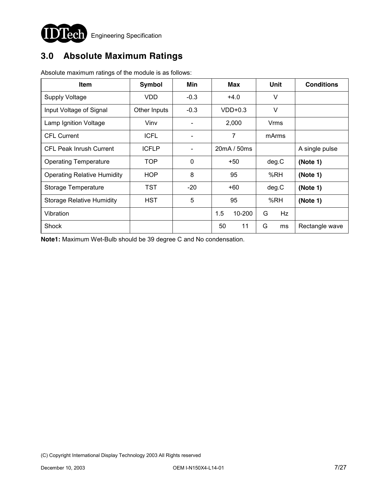

# **3.0 Absolute Maximum Ratings**

| <b>Item</b>                        | Symbol       | Min                      | <b>Max</b>    | Unit    | <b>Conditions</b> |
|------------------------------------|--------------|--------------------------|---------------|---------|-------------------|
| <b>Supply Voltage</b>              | <b>VDD</b>   | $-0.3$                   | $+4.0$        | V       |                   |
| Input Voltage of Signal            | Other Inputs | $-0.3$                   | $VDD+0.3$     | $\vee$  |                   |
| Lamp Ignition Voltage              | Vinv         | $\overline{\phantom{a}}$ | 2,000         | Vrms    |                   |
| <b>CFL Current</b>                 | <b>ICFL</b>  |                          | 7             | mArms   |                   |
| <b>CFL Peak Inrush Current</b>     | <b>ICFLP</b> |                          | 20mA / 50ms   |         | A single pulse    |
| <b>Operating Temperature</b>       | <b>TOP</b>   | $\mathbf{0}$             | $+50$         | deg.C   | (Note 1)          |
| <b>Operating Relative Humidity</b> | HOP          | 8                        | 95            | %RH     | (Note 1)          |
| Storage Temperature                | TST          | $-20$                    | $+60$         | deg.C   | (Note 1)          |
| <b>Storage Relative Humidity</b>   | <b>HST</b>   | 5                        | 95            | %RH     | (Note 1)          |
| Vibration                          |              |                          | 1.5<br>10-200 | G<br>Hz |                   |
| Shock                              |              |                          | 11<br>50      | G<br>ms | Rectangle wave    |

Absolute maximum ratings of the module is as follows:

**Note1:** Maximum Wet-Bulb should be 39 degree C and No condensation.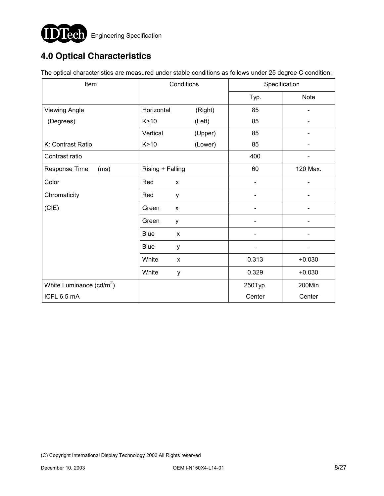

# **4.0 Optical Characteristics**

The optical characteristics are measured under stable conditions as follows under 25 degree C condition:

| Item                       | Conditions       |              |                          | Specification |  |
|----------------------------|------------------|--------------|--------------------------|---------------|--|
|                            |                  |              | Typ.                     | <b>Note</b>   |  |
| <b>Viewing Angle</b>       | Horizontal       | (Right)      | 85                       |               |  |
| (Degrees)                  | $K \geq 10$      | (Left)       | 85                       |               |  |
|                            | Vertical         | (Upper)      | 85                       |               |  |
| K: Contrast Ratio          | $K \geq 10$      | (Lower)      | 85                       |               |  |
| Contrast ratio             |                  |              | 400                      |               |  |
| Response Time<br>(ms)      | Rising + Falling |              | 60                       | 120 Max.      |  |
| Color                      | Red              | X            | $\overline{\phantom{a}}$ |               |  |
| Chromaticity               | Red              | y            |                          |               |  |
| (CIE)                      | Green            | X            |                          |               |  |
|                            | Green            | у            |                          |               |  |
|                            | <b>Blue</b>      | $\mathsf{x}$ |                          |               |  |
|                            | <b>Blue</b>      | у            | -                        |               |  |
|                            | White            | X            | 0.313                    | $+0.030$      |  |
|                            | White            | y            | 0.329                    | $+0.030$      |  |
| White Luminance $(cd/m^2)$ |                  |              | 250Typ.                  | 200Min        |  |
| ICFL 6.5 mA                |                  |              | Center                   | Center        |  |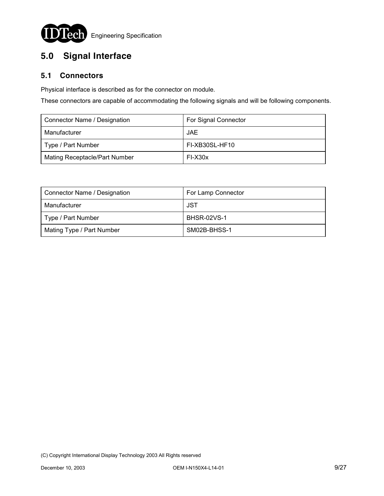

# **5.0 Signal Interface**

### **5.1 Connectors**

Physical interface is described as for the connector on module.

These connectors are capable of accommodating the following signals and will be following components.

| Connector Name / Designation         | For Signal Connector |
|--------------------------------------|----------------------|
| Manufacturer                         | JAE                  |
| Type / Part Number                   | FI-XB30SL-HF10       |
| <b>Mating Receptacle/Part Number</b> | FI-X30x              |

| Connector Name / Designation | For Lamp Connector |  |
|------------------------------|--------------------|--|
| Manufacturer                 | JST                |  |
| Type / Part Number           | <b>BHSR-02VS-1</b> |  |
| Mating Type / Part Number    | SM02B-BHSS-1       |  |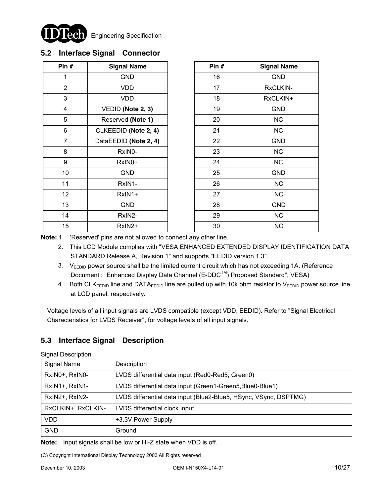

### **5.2 Interface Signal Connector**

| Pin #          | <b>Signal Name</b>    | Pin $#$ | <b>Signal Name</b> |
|----------------|-----------------------|---------|--------------------|
| 1              | <b>GND</b>            | 16      | <b>GND</b>         |
| $\overline{2}$ | <b>VDD</b>            | 17      | RxCLKIN-           |
| 3              | <b>VDD</b>            | 18      | RxCLKIN+           |
| 4              | VEDID (Note 2, 3)     | 19      | <b>GND</b>         |
| 5              | Reserved (Note 1)     | 20      | <b>NC</b>          |
| 6              | CLKEEDID (Note 2, 4)  | 21      | <b>NC</b>          |
| $\overline{7}$ | DataEEDID (Note 2, 4) | 22      | <b>GND</b>         |
| 8              | RxIN0-                | 23      | NC                 |
| 9              | RxIN0+                | 24      | <b>NC</b>          |
| 10             | <b>GND</b>            | 25      | <b>GND</b>         |
| 11             | RxIN1-                | 26      | NC                 |
| 12             | RxIN1+                | 27      | NC                 |
| 13             | <b>GND</b>            | 28      | <b>GND</b>         |
| 14             | RxIN2-                | 29      | <b>NC</b>          |
| 15             | RxIN2+                | 30      | <b>NC</b>          |

| Pin # | <b>Signal Name</b> |  |
|-------|--------------------|--|
| 16    | <b>GND</b>         |  |
| 17    | <b>RxCLKIN-</b>    |  |
| 18    | RxCLKIN+           |  |
| 19    | <b>GND</b>         |  |
| 20    | <b>NC</b>          |  |
| 21    | <b>NC</b>          |  |
| 22    | <b>GND</b>         |  |
| 23    | <b>NC</b>          |  |
| 24    | <b>NC</b>          |  |
| 25    | <b>GND</b>         |  |
| 26    | <b>NC</b>          |  |
| 27    | <b>NC</b>          |  |
| 28    | <b>GND</b>         |  |
| 29    | <b>NC</b>          |  |
| 30    | ΝC                 |  |

**Note:** 1. 'Reserved' pins are not allowed to connect any other line.

- 2. This LCD Module complies with "VESA ENHANCED EXTENDED DISPLAY IDENTIFICATION DATA STANDARD Release A, Revision 1" and supports "EEDID version 1.3".
- 3.  $V_{FENID}$  power source shall be the limited current circuit which has not exceeding 1A. (Reference Document : "Enhanced Display Data Channel (E-DDC<sup>™</sup>) Proposed Standard", VESA)
- 4. Both CLK<sub>EEDID</sub> line and DATA<sub>EEDID</sub> line are pulled up with 10k ohm resistor to V<sub>EEDID</sub> power source line at LCD panel, respectively.

Voltage levels of all input signals are LVDS compatible (except VDD, EEDID). Refer to "Signal Electrical Characteristics for LVDS Receiver", for voltage levels of all input signals.

### **5.3 Interface Signal Description**

|  |  | <b>Signal Description</b> |
|--|--|---------------------------|
|--|--|---------------------------|

| Signal Name        | Description                                                      |
|--------------------|------------------------------------------------------------------|
| RxIN0+, RxIN0-     | LVDS differential data input (Red0-Red5, Green0)                 |
| RxIN1+, RxIN1-     | LVDS differential data input (Green1-Green5, Blue0-Blue1)        |
| RxIN2+, RxIN2-     | LVDS differential data input (Blue2-Blue5, HSync, VSync, DSPTMG) |
| RxCLKIN+, RxCLKIN- | LVDS differential clock input                                    |
| VDD                | +3.3V Power Supply                                               |
| <b>GND</b>         | Ground                                                           |

**Note:** Input signals shall be low or Hi-Z state when VDD is off.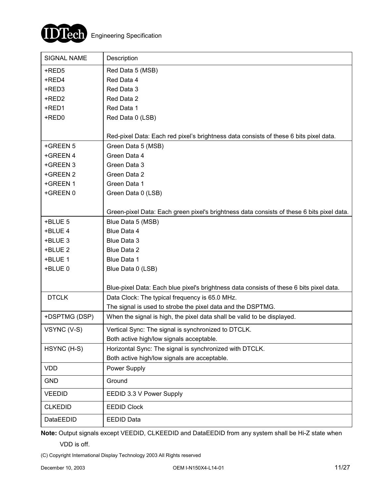

| <b>SIGNAL NAME</b>   | Description                                                                               |
|----------------------|-------------------------------------------------------------------------------------------|
| +RED5                | Red Data 5 (MSB)                                                                          |
| +RED4                | Red Data 4                                                                                |
| +RED3                | Red Data 3                                                                                |
| +RED2                | Red Data 2                                                                                |
| +RED1                | Red Data 1                                                                                |
| +RED0                | Red Data 0 (LSB)                                                                          |
|                      |                                                                                           |
|                      | Red-pixel Data: Each red pixel's brightness data consists of these 6 bits pixel data.     |
| +GREEN 5             | Green Data 5 (MSB)                                                                        |
| +GREEN 4<br>+GREEN 3 | Green Data 4<br>Green Data 3                                                              |
| +GREEN 2             | Green Data 2                                                                              |
| +GREEN 1             | Green Data 1                                                                              |
| +GREEN 0             | Green Data 0 (LSB)                                                                        |
|                      |                                                                                           |
|                      | Green-pixel Data: Each green pixel's brightness data consists of these 6 bits pixel data. |
| +BLUE 5              | Blue Data 5 (MSB)                                                                         |
| +BLUE 4              | Blue Data 4                                                                               |
| +BLUE 3              | Blue Data 3                                                                               |
| +BLUE 2              | Blue Data 2                                                                               |
| +BLUE 1              | Blue Data 1                                                                               |
| +BLUE 0              | Blue Data 0 (LSB)                                                                         |
|                      | Blue-pixel Data: Each blue pixel's brightness data consists of these 6 bits pixel data.   |
| <b>DTCLK</b>         | Data Clock: The typical frequency is 65.0 MHz.                                            |
|                      | The signal is used to strobe the pixel data and the DSPTMG.                               |
| +DSPTMG (DSP)        | When the signal is high, the pixel data shall be valid to be displayed.                   |
| VSYNC (V-S)          | Vertical Sync: The signal is synchronized to DTCLK.                                       |
|                      | Both active high/low signals acceptable.                                                  |
| HSYNC (H-S)          | Horizontal Sync: The signal is synchronized with DTCLK.                                   |
|                      | Both active high/low signals are acceptable.                                              |
| <b>VDD</b>           | Power Supply                                                                              |
| <b>GND</b>           | Ground                                                                                    |
| <b>VEEDID</b>        | EEDID 3.3 V Power Supply                                                                  |
| <b>CLKEDID</b>       | <b>EEDID Clock</b>                                                                        |
| DataEEDID            | <b>EEDID Data</b>                                                                         |

**Note:** Output signals except VEEDID, CLKEEDID and DataEEDID from any system shall be Hi-Z state when

VDD is off.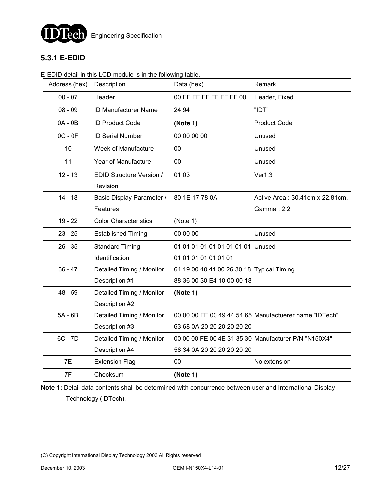

### **5.3.1 E-EDID**

#### E-EDID detail in this LCD module is in the following table.

| Address (hex) | Description                  | Data (hex)                                | Remark                                                 |
|---------------|------------------------------|-------------------------------------------|--------------------------------------------------------|
| $00 - 07$     | Header                       | 00 FF FF FF FF FF FF 00                   | Header, Fixed                                          |
| $08 - 09$     | ID Manufacturer Name         | 24 94                                     | "IDT"                                                  |
| $0A - 0B$     | <b>ID Product Code</b>       | (Note 1)                                  | <b>Product Code</b>                                    |
| $OC - OF$     | <b>ID Serial Number</b>      | 00 00 00 00                               | Unused                                                 |
| 10            | Week of Manufacture          | 00                                        | Unused                                                 |
| 11            | Year of Manufacture          | 00                                        | Unused                                                 |
| $12 - 13$     | EDID Structure Version /     | 01 03                                     | Ver1.3                                                 |
|               | Revision                     |                                           |                                                        |
| $14 - 18$     | Basic Display Parameter /    | 80 1E 17 78 0A                            | Active Area: 30.41cm x 22.81cm,                        |
|               | Features                     |                                           | Gamma: 2.2                                             |
| $19 - 22$     | <b>Color Characteristics</b> | (Note 1)                                  |                                                        |
| $23 - 25$     | <b>Established Timing</b>    | 00 00 00                                  | Unused                                                 |
| $26 - 35$     | <b>Standard Timing</b>       | 01 01 01 01 01 01 01 01 01 Unused         |                                                        |
|               | Identification               | 01 01 01 01 01 01 01                      |                                                        |
| $36 - 47$     | Detailed Timing / Monitor    | 64 19 00 40 41 00 26 30 18 Typical Timing |                                                        |
|               | Description #1               | 88 36 00 30 E4 10 00 00 18                |                                                        |
| $48 - 59$     | Detailed Timing / Monitor    | (Note 1)                                  |                                                        |
|               | Description #2               |                                           |                                                        |
| $5A - 6B$     | Detailed Timing / Monitor    |                                           | 00 00 00 FE 00 49 44 54 65 Manufactuerer name "IDTech" |
|               | Description #3               | 63 68 0A 20 20 20 20 20 20                |                                                        |
| $6C - 7D$     | Detailed Timing / Monitor    |                                           | 00 00 00 FE 00 4E 31 35 30 Manufacturer P/N "N150X4"   |
|               | Description #4               | 58 34 0A 20 20 20 20 20 20                |                                                        |
| 7E            | <b>Extension Flag</b>        | 00                                        | No extension                                           |
| 7F            | Checksum                     | (Note 1)                                  |                                                        |
|               |                              |                                           |                                                        |

**Note 1:** Detail data contents shall be determined with concurrence between user and International Display Technology (IDTech).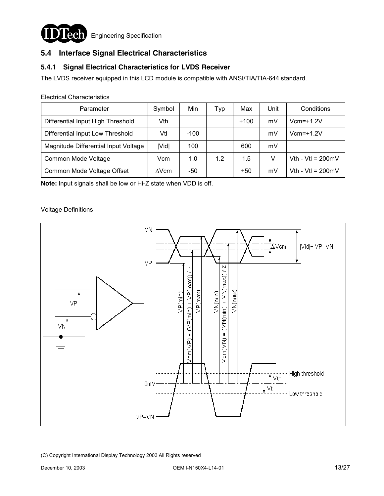

### **5.4 Interface Signal Electrical Characteristics**

### **5.4.1 Signal Electrical Characteristics for LVDS Receiver**

The LVDS receiver equipped in this LCD module is compatible with ANSI/TIA/TIA-644 standard.

Electrical Characteristics

| Parameter                            | Symbol       | Min    | Typ | Max    | Unit | Conditions                  |
|--------------------------------------|--------------|--------|-----|--------|------|-----------------------------|
| Differential Input High Threshold    | Vth          |        |     | $+100$ | mV   | $Vcm=+1.2V$                 |
| Differential Input Low Threshold     | Vtl          | $-100$ |     |        | mV   | $Vcm = +1.2V$               |
| Magnitude Differential Input Voltage | Vid          | 100    |     | 600    | mV   |                             |
| Common Mode Voltage                  | Vcm          | 1.0    | 1.2 | 1.5    | V    | Vth - Vtl = $200 \text{mV}$ |
| Common Mode Voltage Offset           | $\Delta$ Vcm | -50    |     | $+50$  | mV   | Vth - Vtl = $200 \text{mV}$ |

**Note:** Input signals shall be low or Hi-Z state when VDD is off.

#### Voltage Definitions

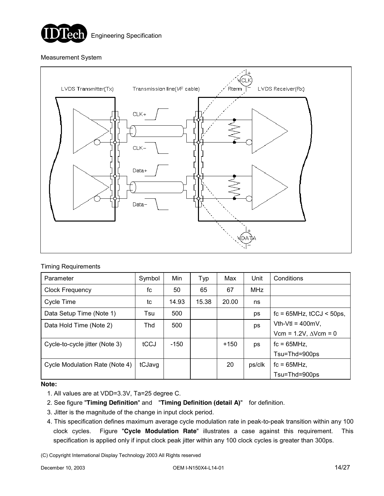

#### Measurement System



#### Timing Requirements

| Parameter                      | Symbol | Min   | Typ   | Max    | Unit       | Conditions                       |
|--------------------------------|--------|-------|-------|--------|------------|----------------------------------|
| <b>Clock Frequency</b>         | fc     | 50    | 65    | 67     | <b>MHz</b> |                                  |
| Cycle Time                     | tc     | 14.93 | 15.38 | 20.00  | ns         |                                  |
| Data Setup Time (Note 1)       | Tsu    | 500   |       |        | ps         | $fc = 65 MHz$ , $tCCJ < 50 ps$ , |
| Data Hold Time (Note 2)        | Thd    | 500   |       |        | ps         | $Vth-Vt = 400mV$ .               |
|                                |        |       |       |        |            | Vcm = $1.2V$ , $\Delta V$ cm = 0 |
| Cycle-to-cycle jitter (Note 3) | tCCJ   | -150  |       | $+150$ | ps         | $fc = 65MHz$ .                   |
|                                |        |       |       |        |            | Tsu=Thd=900ps                    |
| Cycle Modulation Rate (Note 4) | tCJavg |       |       | 20     | ps/clk     | $fc = 65MHz$ .                   |
|                                |        |       |       |        |            | Tsu=Thd=900ps                    |

#### **Note:**

- 1. All values are at VDD=3.3V, Ta=25 degree C.
- 2. See figure "**Timing Definition**" and "**Timing Definition (detail A)**" for definition.
- 3. Jitter is the magnitude of the change in input clock period.
- 4. This specification defines maximum average cycle modulation rate in peak-to-peak transition within any 100 clock cycles. Figure "**Cycle Modulation Rate**" illustrates a case against this requirement. This specification is applied only if input clock peak jitter within any 100 clock cycles is greater than 300ps.
- (C) Copyright International Display Technology 2003 All Rights reserved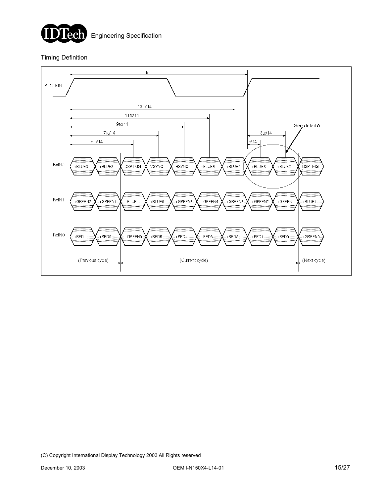

#### Timing Definition

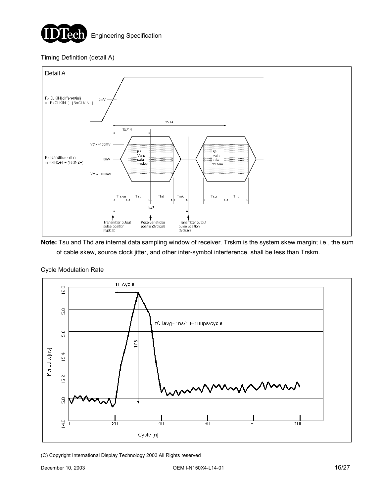

### Timing Definition (detail A)



**Note:** Tsu and Thd are internal data sampling window of receiver. Trskm is the system skew margin; i.e., the sum of cable skew, source clock jitter, and other inter-symbol interference, shall be less than Trskm.



#### Cycle Modulation Rate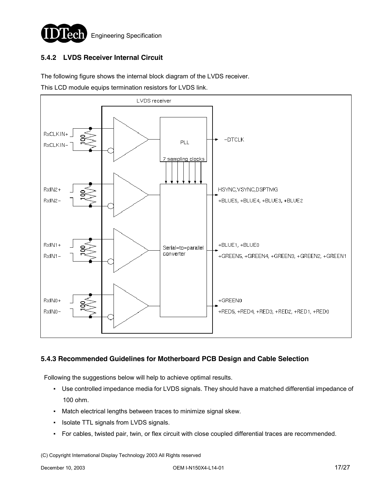

### **5.4.2 LVDS Receiver Internal Circuit**

The following figure shows the internal block diagram of the LVDS receiver.

This LCD module equips termination resistors for LVDS link.



### **5.4.3 Recommended Guidelines for Motherboard PCB Design and Cable Selection**

Following the suggestions below will help to achieve optimal results.

- Use controlled impedance media for LVDS signals. They should have a matched differential impedance of 100 ohm.
- Match electrical lengths between traces to minimize signal skew.
- Isolate TTL signals from LVDS signals.
- For cables, twisted pair, twin, or flex circuit with close coupled differential traces are recommended.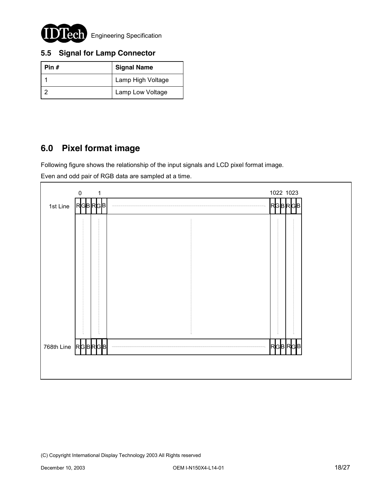

### **5.5 Signal for Lamp Connector**

| Pin $#$ | <b>Signal Name</b> |  |  |
|---------|--------------------|--|--|
|         | Lamp High Voltage  |  |  |
|         | Lamp Low Voltage   |  |  |

### **6.0 Pixel format image**

Following figure shows the relationship of the input signals and LCD pixel format image.

Even and odd pair of RGB data are sampled at a time.

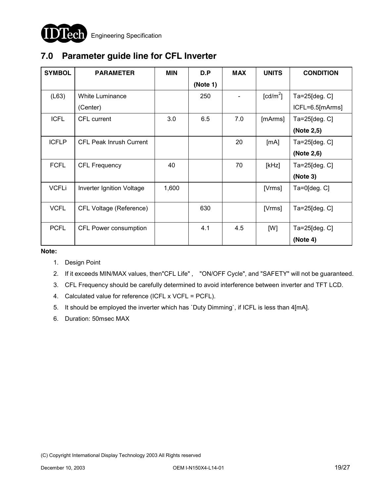

# **7.0 Parameter guide line for CFL Inverter**

| <b>SYMBOL</b> | <b>PARAMETER</b>               | <b>MIN</b> | D.P      | <b>MAX</b> | <b>UNITS</b>           | <b>CONDITION</b>   |
|---------------|--------------------------------|------------|----------|------------|------------------------|--------------------|
|               |                                |            | (Note 1) |            |                        |                    |
| (L63)         | <b>White Luminance</b>         |            | 250      |            | $\lceil cd/m^2 \rceil$ | Ta=25[deg. C]      |
|               | (Center)                       |            |          |            |                        | ICFL=6.5[mArms]    |
| <b>ICFL</b>   | CFL current                    | 3.0        | 6.5      | 7.0        | [mArms]                | Ta=25[deg. C]      |
|               |                                |            |          |            |                        | (Note 2,5)         |
| <b>ICFLP</b>  | <b>CFL Peak Inrush Current</b> |            |          | 20         | [mA]                   | $Ta=25[deg.C]$     |
|               |                                |            |          |            |                        | (Note 2,6)         |
| <b>FCFL</b>   | <b>CFL Frequency</b>           | 40         |          | 70         | [kHz]                  | Ta=25[deg. C]      |
|               |                                |            |          |            |                        | (Note 3)           |
| <b>VCFLi</b>  | Inverter Ignition Voltage      | 1,600      |          |            | [Vrms]                 | $Ta=0$ [deg. $C$ ] |
|               |                                |            |          |            |                        |                    |
| <b>VCFL</b>   | CFL Voltage (Reference)        |            | 630      |            | [Vrms]                 | Ta=25[deg. C]      |
|               |                                |            |          |            |                        |                    |
| <b>PCFL</b>   | CFL Power consumption          |            | 4.1      | 4.5        | [W]                    | $Ta=25[deg.C]$     |
|               |                                |            |          |            |                        | (Note 4)           |

**Note:** 

- 1. Design Point
- 2. If it exceeds MIN/MAX values, then"CFL Life" , "ON/OFF Cycle", and "SAFETY" will not be guaranteed.
- 3. CFL Frequency should be carefully determined to avoid interference between inverter and TFT LCD.
- 4. Calculated value for reference (ICFL x VCFL = PCFL).
- 5. It should be employed the inverter which has `Duty Dimming`, if ICFL is less than 4[mA].
- 6. Duration: 50msec MAX

<sup>(</sup>C) Copyright International Display Technology 2003 All Rights reserved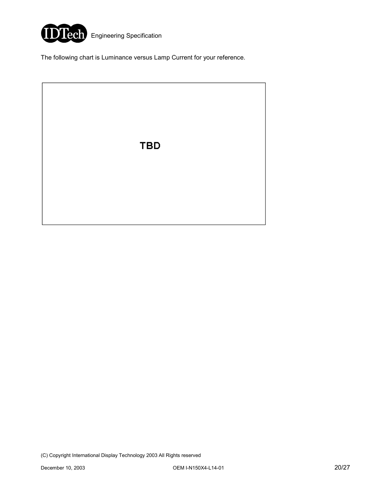

The following chart is Luminance versus Lamp Current for your reference.

**TBD**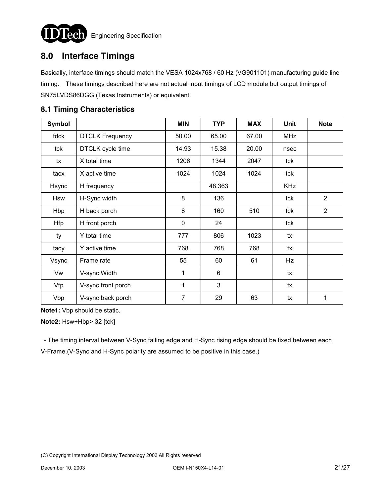

## **8.0 Interface Timings**

Basically, interface timings should match the VESA 1024x768 / 60 Hz (VG901101) manufacturing guide line timing. These timings described here are not actual input timings of LCD module but output timings of SN75LVDS86DGG (Texas Instruments) or equivalent.

# **Symbol MIN TYP MAX Unit Note** fdck | DTCLK Frequency | 50.00 | 65.00 | 67.00 | MHz tck DTCLK cycle time 14.93 15.38 20.00 nsec tx | X total time  $\vert$  1206 | 1344 | 2047 | tck tacx | X active time  $\vert$  1024 | 1024 | 1024 | tck Hsync H frequency The Research H at A8.363 H KHz Hsw H-Sync width 8 136 tck 2 Hbp | H back porch | 8 | 160 | 510 | tck | 2 Hfp | H front porch | 0 | 24 | tck ty Y total time 777 806 1023 tx tacy Y active time 768 768 768 tx Vsync Frame rate 1991 1995 55 60 61 Hz Vw V-sync Width 1 6 tx Vfp | V-sync front porch | 1 | 3 | tx Vbp  $\vert$  V-sync back porch  $\vert$  7  $\vert$  29  $\vert$  63  $\vert$  tx  $\vert$  1

### **8.1 Timing Characteristics**

**Note1:** Vbp should be static.

**Note2:** Hsw+Hbp> 32 [tck]

 - The timing interval between V-Sync falling edge and H-Sync rising edge should be fixed between each V-Frame.(V-Sync and H-Sync polarity are assumed to be positive in this case.)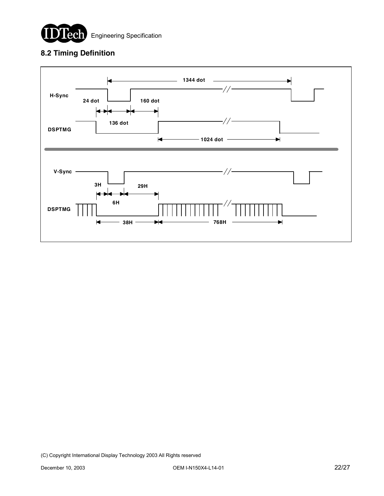

### **8.2 Timing Definition**

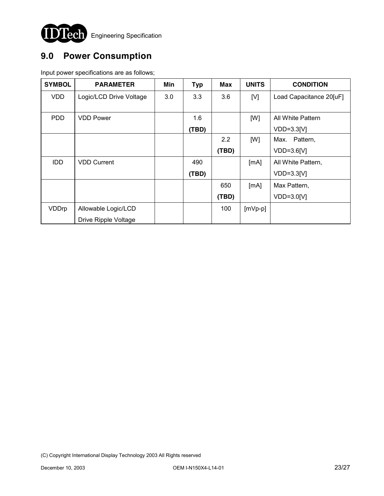

# **9.0 Power Consumption**

Input power specifications are as follows;

| <b>SYMBOL</b> | <b>PARAMETER</b>        | Min | <b>Typ</b> | <b>Max</b> | <b>UNITS</b> | <b>CONDITION</b>        |
|---------------|-------------------------|-----|------------|------------|--------------|-------------------------|
| <b>VDD</b>    | Logic/LCD Drive Voltage | 3.0 | 3.3        | 3.6        | [V]          | Load Capacitance 20[uF] |
|               |                         |     |            |            |              |                         |
| <b>PDD</b>    | <b>VDD Power</b>        |     | 1.6        |            | [W]          | All White Pattern       |
|               |                         |     | (TBD)      |            |              | $VDD=3.3[V]$            |
|               |                         |     |            | 2.2        | [W]          | Pattern,<br>Max.        |
|               |                         |     |            | (TBD)      |              | $VDD=3.6[V]$            |
| <b>IDD</b>    | <b>VDD Current</b>      |     | 490        |            | [mA]         | All White Pattern,      |
|               |                         |     | (TBD)      |            |              | $VDD=3.3[V]$            |
|               |                         |     |            | 650        | [mA]         | Max Pattern,            |
|               |                         |     |            | (TBD)      |              | $VDD=3.0[V]$            |
| VDDrp         | Allowable Logic/LCD     |     |            | 100        | $[mVp-p]$    |                         |
|               | Drive Ripple Voltage    |     |            |            |              |                         |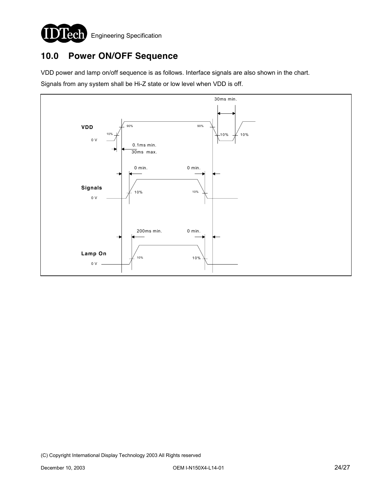

# **10.0 Power ON/OFF Sequence**

VDD power and lamp on/off sequence is as follows. Interface signals are also shown in the chart.

Signals from any system shall be Hi-Z state or low level when VDD is off.

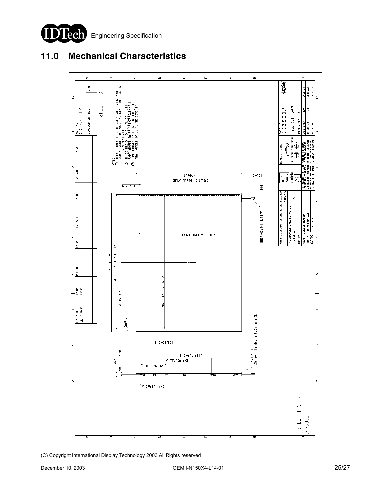

# **11.0 Mechanical Characteristics**



(C) Copyright International Display Technology 2003 All Rights reserved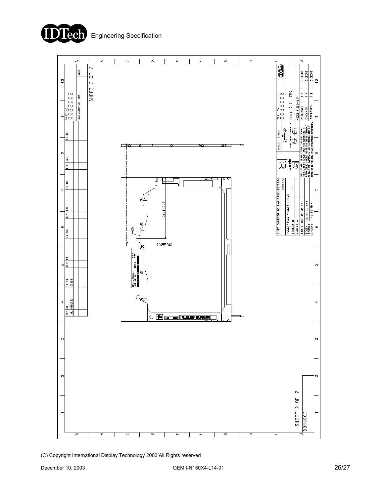



(C) Copyright International Display Technology 2003 All Rights reserved